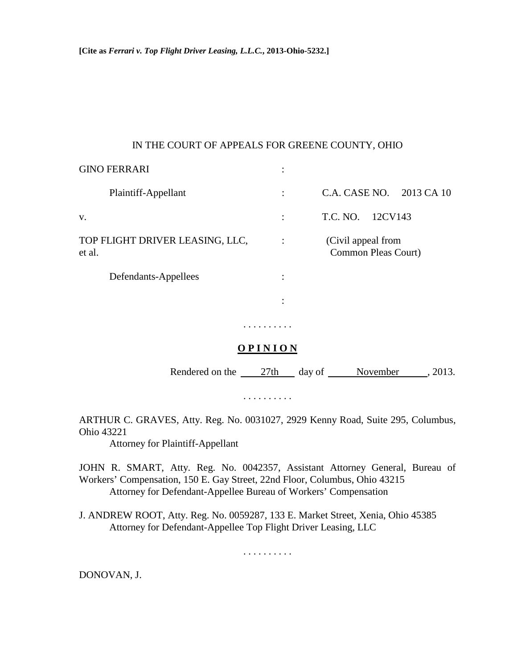## IN THE COURT OF APPEALS FOR GREENE COUNTY, OHIO

| <b>GINO FERRARI</b>                       | ٠         |                                           |  |
|-------------------------------------------|-----------|-------------------------------------------|--|
| Plaintiff-Appellant                       |           | C.A. CASE NO. 2013 CA 10                  |  |
| V.                                        | $\bullet$ | T.C. NO.<br>12CV143                       |  |
| TOP FLIGHT DRIVER LEASING, LLC,<br>et al. |           | (Civil appeal from<br>Common Pleas Court) |  |
| Defendants-Appellees                      | ٠         |                                           |  |
|                                           | ٠         |                                           |  |
|                                           |           |                                           |  |

## **O P I N I O N**

Rendered on the 27th day of November , 2013.

. . . . . . . . . .

ARTHUR C. GRAVES, Atty. Reg. No. 0031027, 2929 Kenny Road, Suite 295, Columbus, Ohio 43221

Attorney for Plaintiff-Appellant

JOHN R. SMART, Atty. Reg. No. 0042357, Assistant Attorney General, Bureau of Workers' Compensation, 150 E. Gay Street, 22nd Floor, Columbus, Ohio 43215 Attorney for Defendant-Appellee Bureau of Workers' Compensation

J. ANDREW ROOT, Atty. Reg. No. 0059287, 133 E. Market Street, Xenia, Ohio 45385 Attorney for Defendant-Appellee Top Flight Driver Leasing, LLC

. . . . . . . . . .

DONOVAN, J.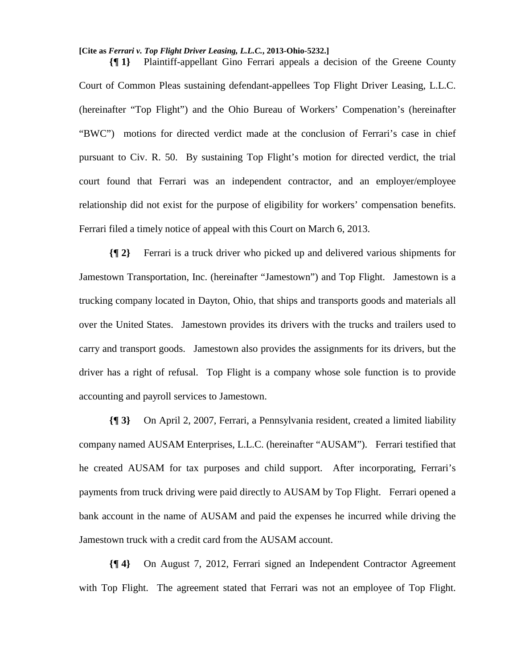## **[Cite as** *Ferrari v. Top Flight Driver Leasing, L.L.C.***, 2013-Ohio-5232.]**

**{¶ 1}** Plaintiff-appellant Gino Ferrari appeals a decision of the Greene County Court of Common Pleas sustaining defendant-appellees Top Flight Driver Leasing, L.L.C. (hereinafter "Top Flight") and the Ohio Bureau of Workers' Compenation's (hereinafter "BWC") motions for directed verdict made at the conclusion of Ferrari's case in chief pursuant to Civ. R. 50. By sustaining Top Flight's motion for directed verdict, the trial court found that Ferrari was an independent contractor, and an employer/employee relationship did not exist for the purpose of eligibility for workers' compensation benefits. Ferrari filed a timely notice of appeal with this Court on March 6, 2013.

**{¶ 2}** Ferrari is a truck driver who picked up and delivered various shipments for Jamestown Transportation, Inc. (hereinafter "Jamestown") and Top Flight. Jamestown is a trucking company located in Dayton, Ohio, that ships and transports goods and materials all over the United States. Jamestown provides its drivers with the trucks and trailers used to carry and transport goods. Jamestown also provides the assignments for its drivers, but the driver has a right of refusal. Top Flight is a company whose sole function is to provide accounting and payroll services to Jamestown.

**{¶ 3}** On April 2, 2007, Ferrari, a Pennsylvania resident, created a limited liability company named AUSAM Enterprises, L.L.C. (hereinafter "AUSAM"). Ferrari testified that he created AUSAM for tax purposes and child support. After incorporating, Ferrari's payments from truck driving were paid directly to AUSAM by Top Flight. Ferrari opened a bank account in the name of AUSAM and paid the expenses he incurred while driving the Jamestown truck with a credit card from the AUSAM account.

**{¶ 4}** On August 7, 2012, Ferrari signed an Independent Contractor Agreement with Top Flight. The agreement stated that Ferrari was not an employee of Top Flight.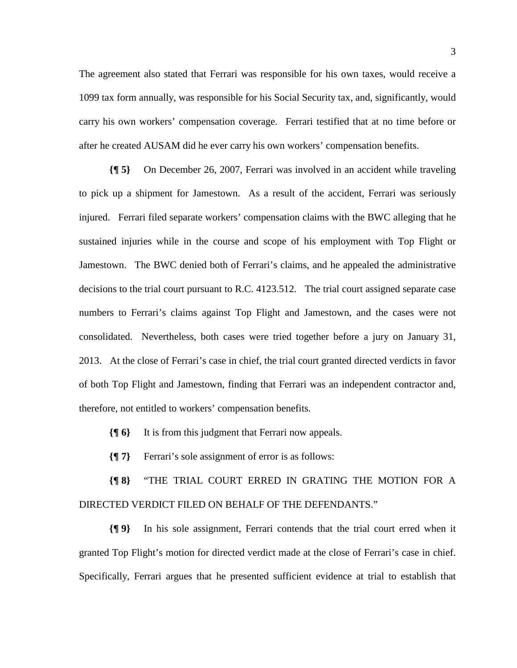The agreement also stated that Ferrari was responsible for his own taxes, would receive a 1099 tax form annually, was responsible for his Social Security tax, and, significantly, would carry his own workers' compensation coverage. Ferrari testified that at no time before or after he created AUSAM did he ever carry his own workers' compensation benefits.

**{¶ 5}** On December 26, 2007, Ferrari was involved in an accident while traveling to pick up a shipment for Jamestown. As a result of the accident, Ferrari was seriously injured. Ferrari filed separate workers' compensation claims with the BWC alleging that he sustained injuries while in the course and scope of his employment with Top Flight or Jamestown. The BWC denied both of Ferrari's claims, and he appealed the administrative decisions to the trial court pursuant to R.C. 4123.512. The trial court assigned separate case numbers to Ferrari's claims against Top Flight and Jamestown, and the cases were not consolidated. Nevertheless, both cases were tried together before a jury on January 31, 2013. At the close of Ferrari's case in chief, the trial court granted directed verdicts in favor of both Top Flight and Jamestown, finding that Ferrari was an independent contractor and, therefore, not entitled to workers' compensation benefits.

**{¶ 6}** It is from this judgment that Ferrari now appeals.

**{¶ 7}** Ferrari's sole assignment of error is as follows:

**{¶ 8}** "THE TRIAL COURT ERRED IN GRATING THE MOTION FOR A DIRECTED VERDICT FILED ON BEHALF OF THE DEFENDANTS."

**{¶ 9}** In his sole assignment, Ferrari contends that the trial court erred when it granted Top Flight's motion for directed verdict made at the close of Ferrari's case in chief. Specifically, Ferrari argues that he presented sufficient evidence at trial to establish that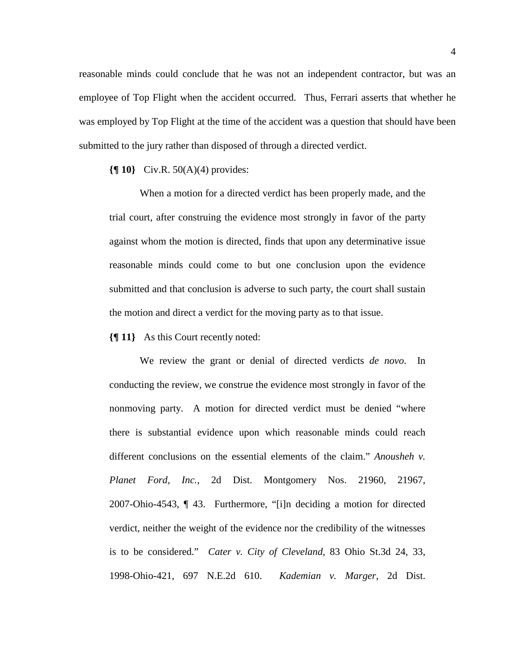reasonable minds could conclude that he was not an independent contractor, but was an employee of Top Flight when the accident occurred. Thus, Ferrari asserts that whether he was employed by Top Flight at the time of the accident was a question that should have been submitted to the jury rather than disposed of through a directed verdict.

**{¶ 10}** Civ.R. 50(A)(4) provides:

When a motion for a directed verdict has been properly made, and the trial court, after construing the evidence most strongly in favor of the party against whom the motion is directed, finds that upon any determinative issue reasonable minds could come to but one conclusion upon the evidence submitted and that conclusion is adverse to such party, the court shall sustain the motion and direct a verdict for the moving party as to that issue.

**{¶ 11}** As this Court recently noted:

We review the grant or denial of directed verdicts *de novo*. In conducting the review, we construe the evidence most strongly in favor of the nonmoving party. A motion for directed verdict must be denied "where there is substantial evidence upon which reasonable minds could reach different conclusions on the essential elements of the claim." *Anousheh v. Planet Ford, Inc.,* 2d Dist. Montgomery Nos. 21960, 21967, 2007-Ohio-4543, ¶ 43. Furthermore, "[i]n deciding a motion for directed verdict, neither the weight of the evidence nor the credibility of the witnesses is to be considered." *Cater v. City of Cleveland*, 83 Ohio St.3d 24, 33, 1998-Ohio-421, 697 N.E.2d 610. *Kademian v. Marger*, 2d Dist.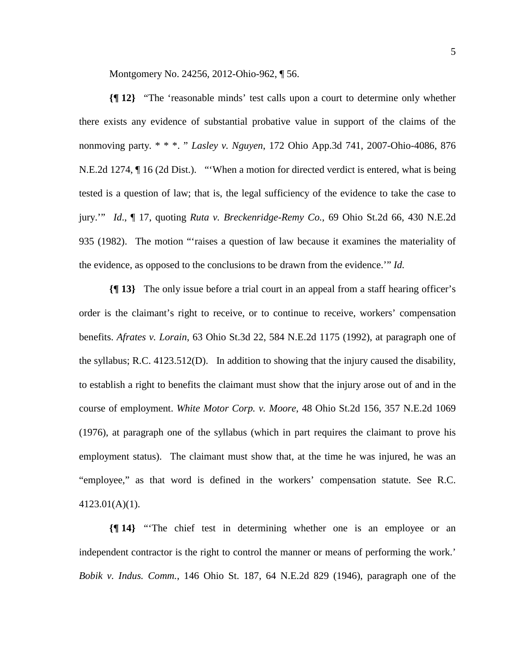Montgomery No. 24256, 2012-Ohio-962, ¶ 56.

**{¶ 12}** "The 'reasonable minds' test calls upon a court to determine only whether there exists any evidence of substantial probative value in support of the claims of the nonmoving party. \* \* \*. " *Lasley v. Nguyen*, 172 Ohio App.3d 741, 2007-Ohio-4086, 876 N.E.2d 1274, ¶ 16 (2d Dist.). "'When a motion for directed verdict is entered, what is being tested is a question of law; that is, the legal sufficiency of the evidence to take the case to jury.'" *Id*., ¶ 17, quoting *Ruta v. Breckenridge-Remy Co.*, 69 Ohio St.2d 66, 430 N.E.2d 935 (1982). The motion "'raises a question of law because it examines the materiality of the evidence, as opposed to the conclusions to be drawn from the evidence.'" *Id.*

**{¶ 13}** The only issue before a trial court in an appeal from a staff hearing officer's order is the claimant's right to receive, or to continue to receive, workers' compensation benefits. *Afrates v. Lorain*, 63 Ohio St.3d 22, 584 N.E.2d 1175 (1992), at paragraph one of the syllabus; R.C. 4123.512(D). In addition to showing that the injury caused the disability, to establish a right to benefits the claimant must show that the injury arose out of and in the course of employment. *White Motor Corp. v. Moore*, 48 Ohio St.2d 156, 357 N.E.2d 1069 (1976), at paragraph one of the syllabus (which in part requires the claimant to prove his employment status). The claimant must show that, at the time he was injured, he was an "employee," as that word is defined in the workers' compensation statute. See R.C. 4123.01(A)(1).

**{¶ 14}** "'The chief test in determining whether one is an employee or an independent contractor is the right to control the manner or means of performing the work.' *Bobik v. Indus. Comm.*, 146 Ohio St. 187, 64 N.E.2d 829 (1946), paragraph one of the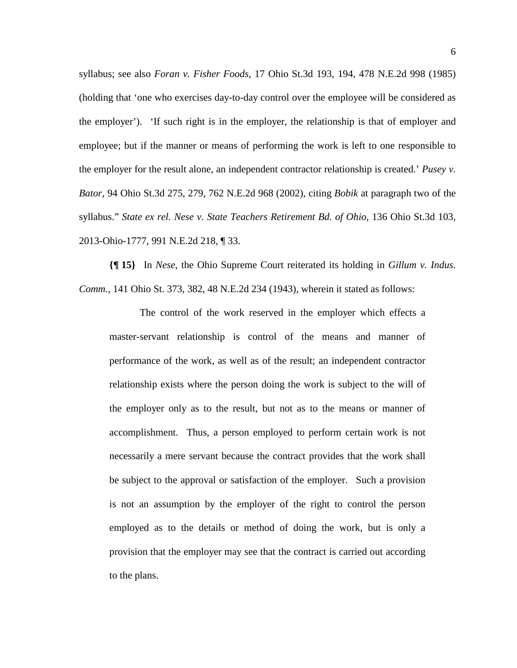syllabus; see also *Foran v. Fisher Foods*, 17 Ohio St.3d 193, 194, 478 N.E.2d 998 (1985) (holding that 'one who exercises day-to-day control over the employee will be considered as the employer'). 'If such right is in the employer, the relationship is that of employer and employee; but if the manner or means of performing the work is left to one responsible to the employer for the result alone, an independent contractor relationship is created.' *Pusey v. Bator*, 94 Ohio St.3d 275, 279, 762 N.E.2d 968 (2002), citing *Bobik* at paragraph two of the syllabus." *State ex rel. Nese v. State Teachers Retirement Bd. of Ohio*, 136 Ohio St.3d 103, 2013-Ohio-1777, 991 N.E.2d 218, ¶ 33.

**{¶ 15}** In *Nese*, the Ohio Supreme Court reiterated its holding in *Gillum v. Indus. Comm.*, 141 Ohio St. 373, 382, 48 N.E.2d 234 (1943), wherein it stated as follows:

The control of the work reserved in the employer which effects a master-servant relationship is control of the means and manner of performance of the work, as well as of the result; an independent contractor relationship exists where the person doing the work is subject to the will of the employer only as to the result, but not as to the means or manner of accomplishment. Thus, a person employed to perform certain work is not necessarily a mere servant because the contract provides that the work shall be subject to the approval or satisfaction of the employer. Such a provision is not an assumption by the employer of the right to control the person employed as to the details or method of doing the work, but is only a provision that the employer may see that the contract is carried out according to the plans.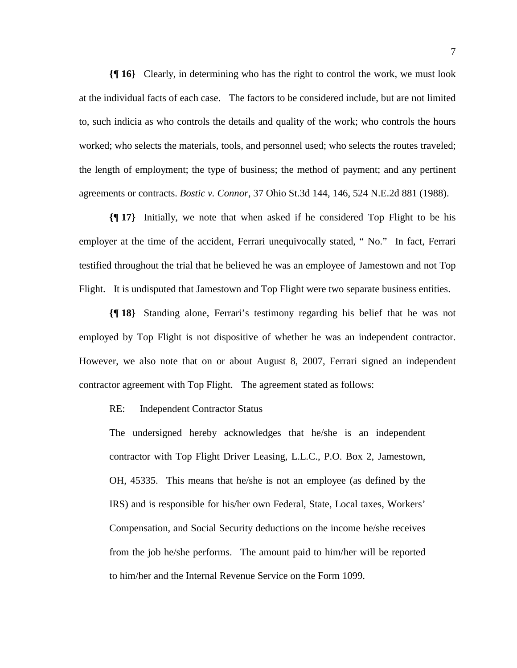**{¶ 16}** Clearly, in determining who has the right to control the work, we must look at the individual facts of each case. The factors to be considered include, but are not limited to, such indicia as who controls the details and quality of the work; who controls the hours worked; who selects the materials, tools, and personnel used; who selects the routes traveled; the length of employment; the type of business; the method of payment; and any pertinent agreements or contracts. *Bostic v. Connor*, 37 Ohio St.3d 144, 146, 524 N.E.2d 881 (1988).

**{¶ 17}** Initially, we note that when asked if he considered Top Flight to be his employer at the time of the accident, Ferrari unequivocally stated, " No." In fact, Ferrari testified throughout the trial that he believed he was an employee of Jamestown and not Top Flight. It is undisputed that Jamestown and Top Flight were two separate business entities.

**{¶ 18}** Standing alone, Ferrari's testimony regarding his belief that he was not employed by Top Flight is not dispositive of whether he was an independent contractor. However, we also note that on or about August 8, 2007, Ferrari signed an independent contractor agreement with Top Flight. The agreement stated as follows:

RE: Independent Contractor Status

The undersigned hereby acknowledges that he/she is an independent contractor with Top Flight Driver Leasing, L.L.C., P.O. Box 2, Jamestown, OH, 45335. This means that he/she is not an employee (as defined by the IRS) and is responsible for his/her own Federal, State, Local taxes, Workers' Compensation, and Social Security deductions on the income he/she receives from the job he/she performs. The amount paid to him/her will be reported to him/her and the Internal Revenue Service on the Form 1099.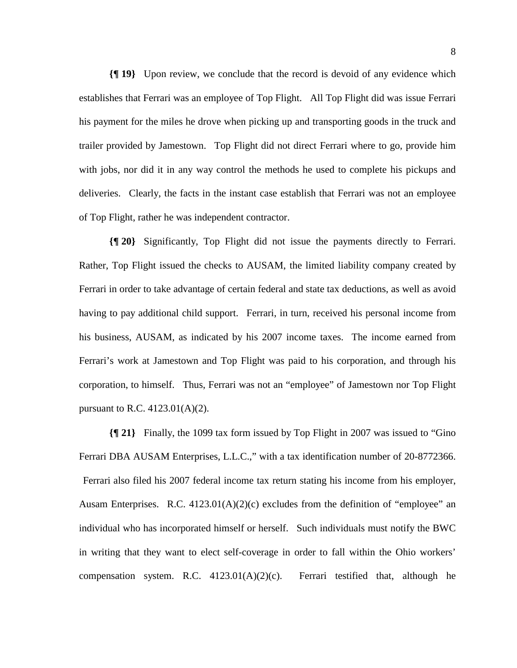**{¶ 19}** Upon review, we conclude that the record is devoid of any evidence which establishes that Ferrari was an employee of Top Flight. All Top Flight did was issue Ferrari his payment for the miles he drove when picking up and transporting goods in the truck and trailer provided by Jamestown. Top Flight did not direct Ferrari where to go, provide him with jobs, nor did it in any way control the methods he used to complete his pickups and deliveries. Clearly, the facts in the instant case establish that Ferrari was not an employee of Top Flight, rather he was independent contractor.

**{¶ 20}** Significantly, Top Flight did not issue the payments directly to Ferrari. Rather, Top Flight issued the checks to AUSAM, the limited liability company created by Ferrari in order to take advantage of certain federal and state tax deductions, as well as avoid having to pay additional child support. Ferrari, in turn, received his personal income from his business, AUSAM, as indicated by his 2007 income taxes. The income earned from Ferrari's work at Jamestown and Top Flight was paid to his corporation, and through his corporation, to himself. Thus, Ferrari was not an "employee" of Jamestown nor Top Flight pursuant to R.C. 4123.01(A)(2).

**{¶ 21}** Finally, the 1099 tax form issued by Top Flight in 2007 was issued to "Gino Ferrari DBA AUSAM Enterprises, L.L.C.," with a tax identification number of 20-8772366. Ferrari also filed his 2007 federal income tax return stating his income from his employer, Ausam Enterprises. R.C.  $4123.01(A)(2)(c)$  excludes from the definition of "employee" an individual who has incorporated himself or herself. Such individuals must notify the BWC in writing that they want to elect self-coverage in order to fall within the Ohio workers' compensation system. R.C.  $4123.01(A)(2)(c)$ . Ferrari testified that, although he